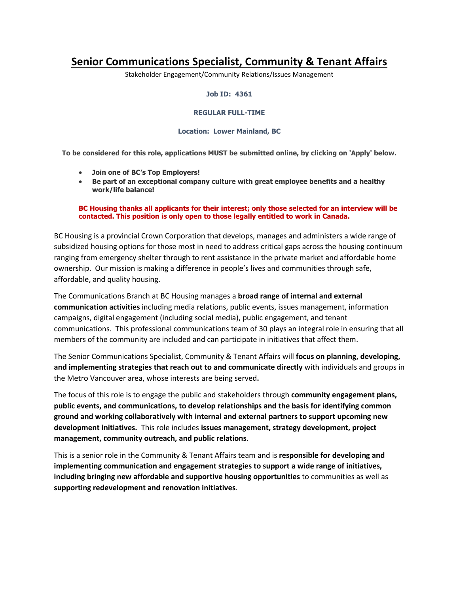# **Senior Communications Specialist, Community & Tenant Affairs**

Stakeholder Engagement/Community Relations/Issues Management

#### **Job ID: 4361**

#### **REGULAR FULL-TIME**

### **Location: Lower Mainland, BC**

**To be considered for this role, applications MUST be submitted online, by clicking on 'Apply' below.**

- **Join one of BC's Top Employers!**
- **Be part of an exceptional company culture with great employee benefits and a healthy work/life balance!**

## **BC Housing thanks all applicants for their interest; only those selected for an interview will be contacted. This position is only open to those legally entitled to work in Canada.**

BC Housing is a provincial Crown Corporation that develops, manages and administers a wide range of subsidized housing options for those most in need to address critical gaps across the housing continuum ranging from emergency shelter through to rent assistance in the private market and affordable home ownership. Our mission is making a difference in people's lives and communities through safe, affordable, and quality housing.

The Communications Branch at BC Housing manages a **broad range of internal and external communication activities** including media relations, public events, issues management, information campaigns, digital engagement (including social media), public engagement, and tenant communications. This professional communications team of 30 plays an integral role in ensuring that all members of the community are included and can participate in initiatives that affect them.

The Senior Communications Specialist, Community & Tenant Affairs will **focus on planning, developing, and implementing strategies that reach out to and communicate directly** with individuals and groups in the Metro Vancouver area, whose interests are being served**.** 

The focus of this role is to engage the public and stakeholders through **community engagement plans, public events, and communications, to develop relationships and the basis for identifying common ground and working collaboratively with internal and external partners to support upcoming new development initiatives.** This role includes **issues management, strategy development, project management, community outreach, and public relations**.

This is a senior role in the Community & Tenant Affairs team and is **responsible for developing and implementing communication and engagement strategies to support a wide range of initiatives, including bringing new affordable and supportive housing opportunities** to communities as well as **supporting redevelopment and renovation initiatives**.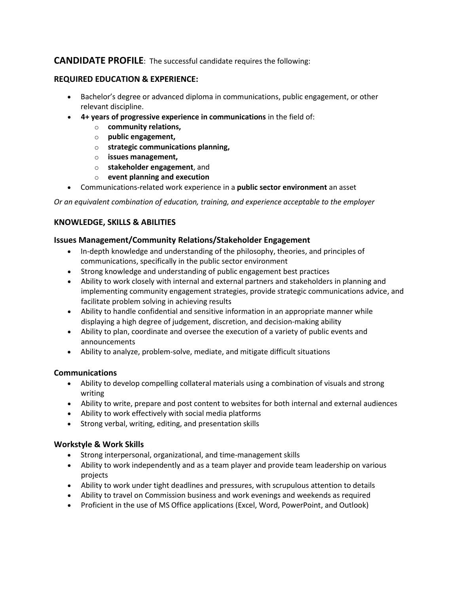# **CANDIDATE PROFILE**: The successful candidate requires the following:

## **REQUIRED EDUCATION & EXPERIENCE:**

- Bachelor's degree or advanced diploma in communications, public engagement, or other relevant discipline.
- **4+ years of progressive experience in communications** in the field of:
	- o **community relations,**
	- o **public engagement,**
	- o **strategic communications planning,**
	- o **issues management,**
	- o **stakeholder engagement**, and
	- o **event planning and execution**
- Communications-related work experience in a **public sector environment** an asset

*Or an equivalent combination of education, training, and experience acceptable to the employer*

# **KNOWLEDGE, SKILLS & ABILITIES**

## **Issues Management/Community Relations/Stakeholder Engagement**

- In-depth knowledge and understanding of the philosophy, theories, and principles of communications, specifically in the public sector environment
- Strong knowledge and understanding of public engagement best practices
- Ability to work closely with internal and external partners and stakeholders in planning and implementing community engagement strategies, provide strategic communications advice, and facilitate problem solving in achieving results
- Ability to handle confidential and sensitive information in an appropriate manner while displaying a high degree of judgement, discretion, and decision-making ability
- Ability to plan, coordinate and oversee the execution of a variety of public events and announcements
- Ability to analyze, problem-solve, mediate, and mitigate difficult situations

## **Communications**

- Ability to develop compelling collateral materials using a combination of visuals and strong writing
- Ability to write, prepare and post content to websites for both internal and external audiences
- Ability to work effectively with social media platforms
- Strong verbal, writing, editing, and presentation skills

# **Workstyle & Work Skills**

- Strong interpersonal, organizational, and time-management skills
- Ability to work independently and as a team player and provide team leadership on various projects
- Ability to work under tight deadlines and pressures, with scrupulous attention to details
- Ability to travel on Commission business and work evenings and weekends as required
- Proficient in the use of MS Office applications (Excel, Word, PowerPoint, and Outlook)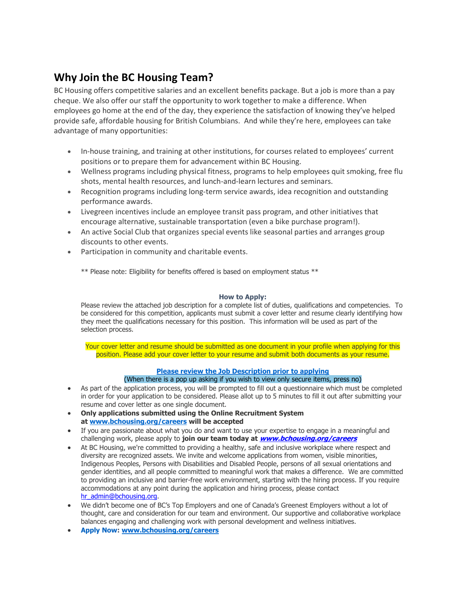# **Why Join the BC Housing Team?**

BC Housing offers competitive salaries and an excellent benefits package. But a job is more than a pay cheque. We also offer our staff the opportunity to work together to make a difference. When employees go home at the end of the day, they experience the satisfaction of knowing they've helped provide safe, affordable housing for British Columbians. And while they're here, employees can take advantage of many opportunities:

- In-house training, and training at other institutions, for courses related to employees' current positions or to prepare them for advancement within BC Housing.
- Wellness programs including physical fitness, programs to help employees quit smoking, free flu shots, mental health resources, and lunch-and-learn lectures and seminars.
- Recognition programs including long-term service awards, idea recognition and outstanding performance awards.
- Livegreen incentives include an employee transit pass program, and other initiatives that encourage alternative, sustainable transportation (even a bike purchase program!).
- An active Social Club that organizes special events like seasonal parties and arranges group discounts to other events.
- Participation in community and charitable events.

\*\* Please note: Eligibility for benefits offered is based on employment status \*\*

## **How to Apply:**

Please review the attached job description for a complete list of duties, qualifications and competencies. To be considered for this competition, applicants must submit a cover letter and resume clearly identifying how they meet the qualifications necessary for this position. This information will be used as part of the selection process.

Your cover letter and resume should be submitted as one document in your profile when applying for this position. Please add your cover letter to your resume and submit both documents as your resume.

# **[Please review the Job Description prior to applying](http://www.bchousing.org/publications/JD-Lending-Officer-AO5-Feb-2020.pdf)**

# (When there is a pop up asking if you wish to view only secure items, press no)

- As part of the application process, you will be prompted to fill out a questionnaire which must be completed in order for your application to be considered. Please allot up to 5 minutes to fill it out after submitting your resume and cover letter as one single document.
- **Only applications submitted using the Online Recruitment System at [www.bchousing.org/careers](http://www.bchousing.org/careers) will be accepted**
- If you are passionate about what you do and want to use your expertise to engage in a meaningful and challenging work, please apply to **join our team today at [www.bchousing.org/careers](http://www.bchousing.org/careers)**
- At BC Housing, we're committed to providing a healthy, safe and inclusive workplace where respect and diversity are recognized assets. We invite and welcome applications from women, visible minorities, Indigenous Peoples, Persons with Disabilities and Disabled People, persons of all sexual orientations and gender identities, and all people committed to meaningful work that makes a difference. We are committed to providing an inclusive and barrier-free work environment, starting with the hiring process. If you require accommodations at any point during the application and hiring process, please contact [hr\\_admin@bchousing.org.](mailto:hr_admin@bchousing.org)
- We didn't become one of BC's Top Employers and one of Canada's Greenest Employers without a lot of thought, care and consideration for our team and environment. Our supportive and collaborative workplace balances engaging and challenging work with personal development and wellness initiatives.
- **Apply Now: [www.bchousing.org/careers](http://www.bchousing.org/careers)**